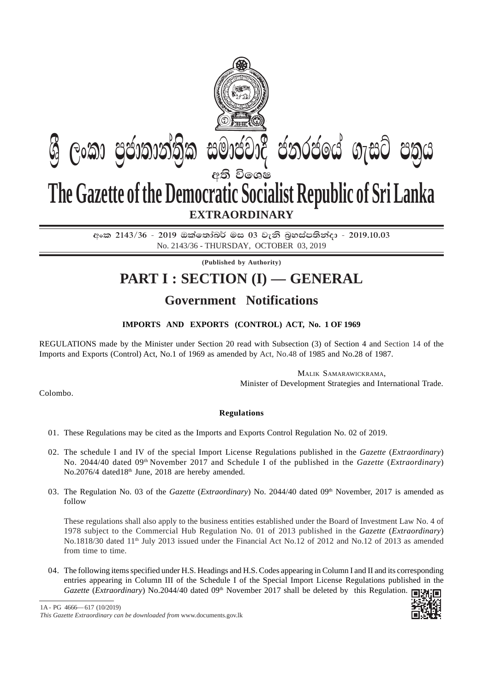

අංක 2143/36 - 2019 ඔක්තෝබර් මස 03 වැනි බුහස්පතින්දා - 2019.10.03 No. 2143/36 - THURSDAY, OCTOBER 03, 2019

**(Published by Authority)**

## **PART I : SECTION (I) — GENERAL**

## **Government Notifications**

## **IMPORTS AND EXPORTS (CONTROL) ACT, No. 1 OF 1969**

REGULATIONS made by the Minister under Section 20 read with Subsection (3) of Section 4 and Section 14 of the Imports and Exports (Control) Act, No.1 of 1969 as amended by Act, No.48 of 1985 and No.28 of 1987.

> MALIK SAMARAWICKRAMA, Minister of Development Strategies and International Trade.

Colombo.

## **Regulations**

- 01. These Regulations may be cited as the Imports and Exports Control Regulation No. 02 of 2019.
- 02. The schedule I and IV of the special Import License Regulations published in the *Gazette* (*Extraordinary*) No. 2044/40 dated 09th November 2017 and Schedule I of the published in the *Gazette* (*Extraordinary*) No.2076/4 dated18<sup>th</sup> June, 2018 are hereby amended.
- 03. The Regulation No. 03 of the *Gazette (Extraordinary)* No. 2044/40 dated 09<sup>th</sup> November, 2017 is amended as follow

These regulations shall also apply to the business entities established under the Board of Investment Law No. 4 of 1978 subject to the Commercial Hub Regulation No. 01 of 2013 published in the *Gazette* (*Extraordinary*) No.1818/30 dated 11<sup>th</sup> July 2013 issued under the Financial Act No.12 of 2012 and No.12 of 2013 as amended from time to time.

04. The following items specified under H.S. Headings and H.S. Codes appearing in Column I and II and its corresponding entries appearing in Column III of the Schedule I of the Special Import License Regulations published in the *Gazette (Extraordinary)* No.2044/40 dated 09<sup>th</sup> November 2017 shall be deleted by this Regulation.

*This Gazette Extraordinary can be downloaded from* www.documents.gov.lk 1A - PG 4666— 617 (10/2019)

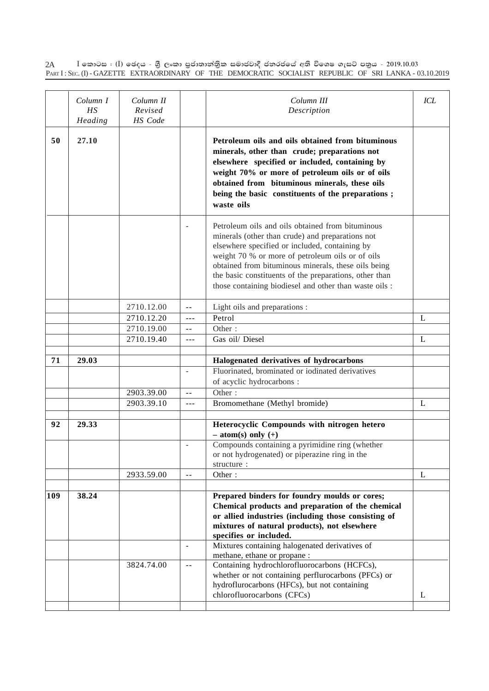$\rm I$  කොටස : ( $\rm I$ ) ඡෙදය - ශීු ලංකා පුජාතාන්තිුක සමාජවාදී ජනරජයේ අති විශෙෂ ගැසට් පතුය - 2019.10.03 PART I : SEC. (I) - GAZETTE EXTRAORDINARY OF THE DEMOCRATIC SOCIALIST REPUBLIC OF SRI LANKA - 03.10.2019 2A

|     | Column I<br>HS<br>Heading | Column II<br>Revised<br>HS Code |                          | Column III<br>Description                                                                                                                                                                                                                                                                                                                                                             | ICL |
|-----|---------------------------|---------------------------------|--------------------------|---------------------------------------------------------------------------------------------------------------------------------------------------------------------------------------------------------------------------------------------------------------------------------------------------------------------------------------------------------------------------------------|-----|
| 50  | 27.10                     |                                 |                          | Petroleum oils and oils obtained from bituminous<br>minerals, other than crude; preparations not<br>elsewhere specified or included, containing by<br>weight 70% or more of petroleum oils or of oils<br>obtained from bituminous minerals, these oils<br>being the basic constituents of the preparations;<br>waste oils                                                             |     |
|     |                           |                                 |                          | Petroleum oils and oils obtained from bituminous<br>minerals (other than crude) and preparations not<br>elsewhere specified or included, containing by<br>weight 70 % or more of petroleum oils or of oils<br>obtained from bituminous minerals, these oils being<br>the basic constituents of the preparations, other than<br>those containing biodiesel and other than waste oils : |     |
|     |                           | 2710.12.00                      | $\sim$ $-$               | Light oils and preparations :                                                                                                                                                                                                                                                                                                                                                         |     |
|     |                           | 2710.12.20                      | $---$                    | Petrol                                                                                                                                                                                                                                                                                                                                                                                | L   |
|     |                           | 2710.19.00                      | $-$                      | Other:                                                                                                                                                                                                                                                                                                                                                                                |     |
|     |                           | 2710.19.40                      | $---$                    | Gas oil/Diesel                                                                                                                                                                                                                                                                                                                                                                        | L   |
| 71  | 29.03                     |                                 |                          | Halogenated derivatives of hydrocarbons                                                                                                                                                                                                                                                                                                                                               |     |
|     |                           |                                 | $\overline{\phantom{a}}$ | Fluorinated, brominated or iodinated derivatives                                                                                                                                                                                                                                                                                                                                      |     |
|     |                           |                                 |                          | of acyclic hydrocarbons :                                                                                                                                                                                                                                                                                                                                                             |     |
|     |                           | 2903.39.00                      | $\sim$ $\sim$            | Other:                                                                                                                                                                                                                                                                                                                                                                                |     |
|     |                           | 2903.39.10                      | $---$                    | Bromomethane (Methyl bromide)                                                                                                                                                                                                                                                                                                                                                         | L   |
|     |                           |                                 |                          |                                                                                                                                                                                                                                                                                                                                                                                       |     |
| 92  | 29.33                     |                                 |                          | Heterocyclic Compounds with nitrogen hetero<br>$-$ atom(s) only $(+)$                                                                                                                                                                                                                                                                                                                 |     |
|     |                           |                                 | $\sim$                   | Compounds containing a pyrimidine ring (whether<br>or not hydrogenated) or piperazine ring in the<br>structure:                                                                                                                                                                                                                                                                       |     |
|     |                           | 2933.59.00                      | $\overline{a}$           | Other:                                                                                                                                                                                                                                                                                                                                                                                | L   |
|     |                           |                                 |                          |                                                                                                                                                                                                                                                                                                                                                                                       |     |
| 109 | 38.24                     |                                 |                          | Prepared binders for foundry moulds or cores;<br>Chemical products and preparation of the chemical<br>or allied industries (including those consisting of<br>mixtures of natural products), not elsewhere<br>specifies or included.                                                                                                                                                   |     |
|     |                           |                                 | $\blacksquare$           | Mixtures containing halogenated derivatives of                                                                                                                                                                                                                                                                                                                                        |     |
|     |                           |                                 |                          | methane, ethane or propane:                                                                                                                                                                                                                                                                                                                                                           |     |
|     |                           | 3824.74.00                      | $\sim$ $\sim$            | Containing hydrochlorofluorocarbons (HCFCs),<br>whether or not containing perflurocarbons (PFCs) or<br>hydroflurocarbons (HFCs), but not containing                                                                                                                                                                                                                                   |     |
|     |                           |                                 |                          | chlorofluorocarbons (CFCs)                                                                                                                                                                                                                                                                                                                                                            | L   |
|     |                           |                                 |                          |                                                                                                                                                                                                                                                                                                                                                                                       |     |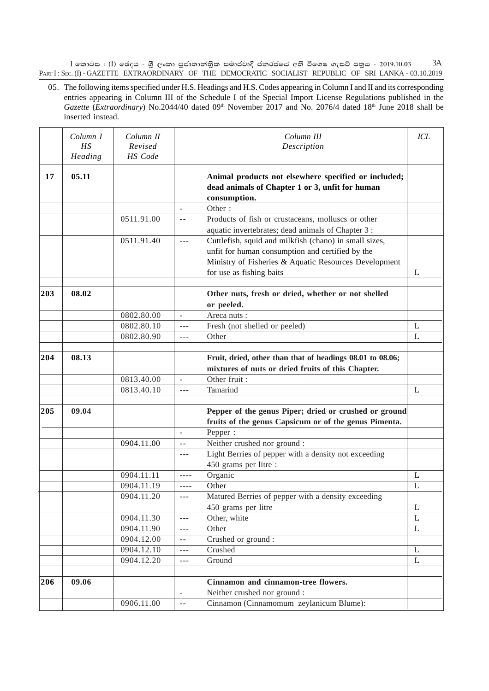$I$  කොටස : (I) ඡෙදය - ශුී ලංකා පුජාතාන්තුික සමාජවාදී ජනරජයේ අති විශෙෂ ගැසට් පතුය - 2019.10.03 PART I: SEC. (I) - GAZETTE EXTRAORDINARY OF THE DEMOCRATIC SOCIALIST REPUBLIC OF SRI LANKA - 03.10.2019 3A

05. The following items specified under H.S. Headings and H.S. Codes appearing in Column I and II and its corresponding entries appearing in Column III of the Schedule I of the Special Import License Regulations published in the *Gazette* (*Extraordinary*) No.2044/40 dated 09<sup>th</sup> November 2017 and No. 2076/4 dated 18<sup>th</sup> June 2018 shall be inserted instead.

|     | Column I<br>HS<br>Heading | Column II<br>Revised<br>HS Code |                          | Column III<br>Description                                                                                                                                                                       | <b>ICL</b>   |
|-----|---------------------------|---------------------------------|--------------------------|-------------------------------------------------------------------------------------------------------------------------------------------------------------------------------------------------|--------------|
| 17  | 05.11                     |                                 |                          | Animal products not elsewhere specified or included;<br>dead animals of Chapter 1 or 3, unfit for human<br>consumption.                                                                         |              |
|     |                           |                                 | $\blacksquare$           | Other:                                                                                                                                                                                          |              |
|     |                           | 0511.91.00                      | --                       | Products of fish or crustaceans, molluscs or other<br>aquatic invertebrates; dead animals of Chapter 3 :                                                                                        |              |
|     |                           | 0511.91.40                      | $---$                    | Cuttlefish, squid and milkfish (chano) in small sizes,<br>unfit for human consumption and certified by the<br>Ministry of Fisheries & Aquatic Resources Development<br>for use as fishing baits | L            |
| 203 | 08.02                     |                                 |                          | Other nuts, fresh or dried, whether or not shelled<br>or peeled.                                                                                                                                |              |
|     |                           | 0802.80.00                      | $\overline{\phantom{a}}$ | Areca nuts:                                                                                                                                                                                     |              |
|     |                           | 0802.80.10                      | $\overline{a}$           | Fresh (not shelled or peeled)                                                                                                                                                                   | L            |
|     |                           | 0802.80.90                      | $---$                    | Other                                                                                                                                                                                           | L            |
|     |                           |                                 |                          |                                                                                                                                                                                                 |              |
| 204 | 08.13                     |                                 |                          | Fruit, dried, other than that of headings 08.01 to 08.06;<br>mixtures of nuts or dried fruits of this Chapter.                                                                                  |              |
|     |                           | 0813.40.00                      | $\overline{\phantom{a}}$ | Other fruit :                                                                                                                                                                                   |              |
|     |                           | 0813.40.10                      | $---$                    | Tamarind                                                                                                                                                                                        | L            |
|     |                           |                                 |                          |                                                                                                                                                                                                 |              |
| 205 | 09.04                     |                                 |                          | Pepper of the genus Piper; dried or crushed or ground                                                                                                                                           |              |
|     |                           |                                 |                          | fruits of the genus Capsicum or of the genus Pimenta.                                                                                                                                           |              |
|     |                           |                                 | $\blacksquare$           | Pepper:                                                                                                                                                                                         |              |
|     |                           | 0904.11.00                      | $- -$                    | Neither crushed nor ground :<br>Light Berries of pepper with a density not exceeding                                                                                                            |              |
|     |                           |                                 | $- - -$                  | 450 grams per litre :                                                                                                                                                                           |              |
|     |                           | 0904.11.11                      | ----                     | Organic                                                                                                                                                                                         | L            |
|     |                           | 0904.11.19                      | ----                     | Other                                                                                                                                                                                           | L            |
|     |                           | 0904.11.20                      | $- - -$                  | Matured Berries of pepper with a density exceeding                                                                                                                                              |              |
|     |                           |                                 |                          | 450 grams per litre                                                                                                                                                                             | L            |
|     |                           | 0904.11.30                      | $\frac{1}{2}$            | Other, white                                                                                                                                                                                    | L            |
|     |                           | 0904.11.90                      | $---$                    | Other                                                                                                                                                                                           | $\mathbf{L}$ |
|     |                           | 0904.12.00                      | $- -$                    | Crushed or ground:                                                                                                                                                                              |              |
|     |                           | 0904.12.10                      | ---                      | Crushed                                                                                                                                                                                         | L            |
|     |                           | 0904.12.20                      | $---$                    | Ground                                                                                                                                                                                          | L            |
|     |                           |                                 |                          |                                                                                                                                                                                                 |              |
| 206 | 09.06                     |                                 |                          | Cinnamon and cinnamon-tree flowers.                                                                                                                                                             |              |
|     |                           |                                 | $\omega$                 | Neither crushed nor ground :                                                                                                                                                                    |              |
|     |                           | 0906.11.00                      | $- -$                    | Cinnamon (Cinnamomum zeylanicum Blume):                                                                                                                                                         |              |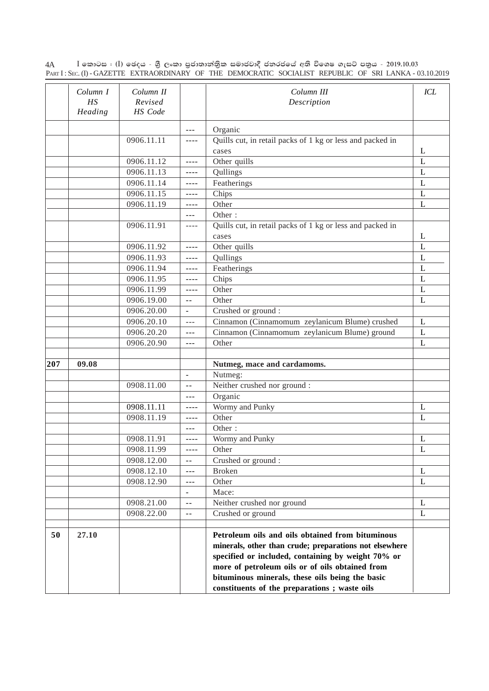$\rm I$  කොටස : ( $\rm I$ ) ඡෙදය - ශීු ලංකා පුජාතාන්තිුක සමාජවාදී ජනරජයේ අති විශෙෂ ගැසට් පතුය - 2019.10.03 PART I : SEC. (I) - GAZETTE EXTRAORDINARY OF THE DEMOCRATIC SOCIALIST REPUBLIC OF SRI LANKA - 03.10.2019 4A

|     | Column I<br>HS<br>Heading | Column II<br>Revised<br>HS Code |                                                                                                                                                                                                                                                                                                                                                                                              | Column III<br>Description                                                                                                                                                                                                                                                                                              | <b>ICL</b>   |
|-----|---------------------------|---------------------------------|----------------------------------------------------------------------------------------------------------------------------------------------------------------------------------------------------------------------------------------------------------------------------------------------------------------------------------------------------------------------------------------------|------------------------------------------------------------------------------------------------------------------------------------------------------------------------------------------------------------------------------------------------------------------------------------------------------------------------|--------------|
|     |                           |                                 | $- - -$                                                                                                                                                                                                                                                                                                                                                                                      | Organic                                                                                                                                                                                                                                                                                                                |              |
|     |                           | 0906.11.11                      | $- - - -$                                                                                                                                                                                                                                                                                                                                                                                    | Quills cut, in retail packs of 1 kg or less and packed in                                                                                                                                                                                                                                                              |              |
|     |                           |                                 |                                                                                                                                                                                                                                                                                                                                                                                              | cases                                                                                                                                                                                                                                                                                                                  | L            |
|     |                           | 0906.11.12                      | $\frac{1}{2} \frac{1}{2} \frac{1}{2} \frac{1}{2} \frac{1}{2} \frac{1}{2} \frac{1}{2} \frac{1}{2} \frac{1}{2} \frac{1}{2} \frac{1}{2} \frac{1}{2} \frac{1}{2} \frac{1}{2} \frac{1}{2} \frac{1}{2} \frac{1}{2} \frac{1}{2} \frac{1}{2} \frac{1}{2} \frac{1}{2} \frac{1}{2} \frac{1}{2} \frac{1}{2} \frac{1}{2} \frac{1}{2} \frac{1}{2} \frac{1}{2} \frac{1}{2} \frac{1}{2} \frac{1}{2} \frac{$ | Other quills                                                                                                                                                                                                                                                                                                           | L            |
|     |                           | 0906.11.13                      | $\frac{1}{2} \frac{1}{2} \frac{1}{2} \frac{1}{2} \frac{1}{2} \frac{1}{2} \frac{1}{2} \frac{1}{2} \frac{1}{2} \frac{1}{2} \frac{1}{2} \frac{1}{2} \frac{1}{2} \frac{1}{2} \frac{1}{2} \frac{1}{2} \frac{1}{2} \frac{1}{2} \frac{1}{2} \frac{1}{2} \frac{1}{2} \frac{1}{2} \frac{1}{2} \frac{1}{2} \frac{1}{2} \frac{1}{2} \frac{1}{2} \frac{1}{2} \frac{1}{2} \frac{1}{2} \frac{1}{2} \frac{$ | Qullings                                                                                                                                                                                                                                                                                                               | L            |
|     |                           | 0906.11.14                      | $\frac{1}{2}$                                                                                                                                                                                                                                                                                                                                                                                | Featherings                                                                                                                                                                                                                                                                                                            | L            |
|     |                           | 0906.11.15                      | $- - - -$                                                                                                                                                                                                                                                                                                                                                                                    | Chips                                                                                                                                                                                                                                                                                                                  | L            |
|     |                           | 0906.11.19                      | $- - - -$                                                                                                                                                                                                                                                                                                                                                                                    | Other                                                                                                                                                                                                                                                                                                                  | L            |
|     |                           |                                 | $- - -$                                                                                                                                                                                                                                                                                                                                                                                      | Other:                                                                                                                                                                                                                                                                                                                 |              |
|     |                           | 0906.11.91                      | $- - - -$                                                                                                                                                                                                                                                                                                                                                                                    | Quills cut, in retail packs of 1 kg or less and packed in                                                                                                                                                                                                                                                              |              |
|     |                           |                                 |                                                                                                                                                                                                                                                                                                                                                                                              | cases                                                                                                                                                                                                                                                                                                                  | L            |
|     |                           | 0906.11.92                      | $\frac{1}{2}$                                                                                                                                                                                                                                                                                                                                                                                | Other quills                                                                                                                                                                                                                                                                                                           | L            |
|     |                           | 0906.11.93                      | $\frac{1}{2}$                                                                                                                                                                                                                                                                                                                                                                                | Qullings                                                                                                                                                                                                                                                                                                               | $\mathbf{L}$ |
|     |                           | 0906.11.94                      | $\frac{1}{2} \frac{1}{2} \frac{1}{2} \frac{1}{2} \frac{1}{2} \frac{1}{2} \frac{1}{2} \frac{1}{2} \frac{1}{2} \frac{1}{2} \frac{1}{2} \frac{1}{2} \frac{1}{2} \frac{1}{2} \frac{1}{2} \frac{1}{2} \frac{1}{2} \frac{1}{2} \frac{1}{2} \frac{1}{2} \frac{1}{2} \frac{1}{2} \frac{1}{2} \frac{1}{2} \frac{1}{2} \frac{1}{2} \frac{1}{2} \frac{1}{2} \frac{1}{2} \frac{1}{2} \frac{1}{2} \frac{$ | Featherings                                                                                                                                                                                                                                                                                                            | $\mathbf L$  |
|     |                           | 0906.11.95                      | $\frac{1}{2} \frac{1}{2} \frac{1}{2} \frac{1}{2} \frac{1}{2} \frac{1}{2} \frac{1}{2} \frac{1}{2} \frac{1}{2} \frac{1}{2} \frac{1}{2} \frac{1}{2} \frac{1}{2} \frac{1}{2} \frac{1}{2} \frac{1}{2} \frac{1}{2} \frac{1}{2} \frac{1}{2} \frac{1}{2} \frac{1}{2} \frac{1}{2} \frac{1}{2} \frac{1}{2} \frac{1}{2} \frac{1}{2} \frac{1}{2} \frac{1}{2} \frac{1}{2} \frac{1}{2} \frac{1}{2} \frac{$ | Chips                                                                                                                                                                                                                                                                                                                  | L            |
|     |                           | 0906.11.99                      | $- - - -$                                                                                                                                                                                                                                                                                                                                                                                    | Other                                                                                                                                                                                                                                                                                                                  | L            |
|     |                           | 0906.19.00                      | $\sim$ $-$                                                                                                                                                                                                                                                                                                                                                                                   | Other                                                                                                                                                                                                                                                                                                                  | L            |
|     |                           | 0906.20.00                      | $\blacksquare$                                                                                                                                                                                                                                                                                                                                                                               | Crushed or ground :                                                                                                                                                                                                                                                                                                    |              |
|     |                           | 0906.20.10                      | $- - -$                                                                                                                                                                                                                                                                                                                                                                                      | Cinnamon (Cinnamomum zeylanicum Blume) crushed                                                                                                                                                                                                                                                                         | L            |
|     |                           | 0906.20.20                      | $- - -$                                                                                                                                                                                                                                                                                                                                                                                      | Cinnamon (Cinnamomum zeylanicum Blume) ground                                                                                                                                                                                                                                                                          | L            |
|     |                           | 0906.20.90                      | $- - -$                                                                                                                                                                                                                                                                                                                                                                                      | Other                                                                                                                                                                                                                                                                                                                  | L            |
| 207 | 09.08                     |                                 |                                                                                                                                                                                                                                                                                                                                                                                              | Nutmeg, mace and cardamoms.                                                                                                                                                                                                                                                                                            |              |
|     |                           |                                 | $\sim$                                                                                                                                                                                                                                                                                                                                                                                       | Nutmeg:                                                                                                                                                                                                                                                                                                                |              |
|     |                           | 0908.11.00                      | $-$                                                                                                                                                                                                                                                                                                                                                                                          | Neither crushed nor ground :                                                                                                                                                                                                                                                                                           |              |
|     |                           |                                 | $- - -$                                                                                                                                                                                                                                                                                                                                                                                      | Organic                                                                                                                                                                                                                                                                                                                |              |
|     |                           | 0908.11.11                      | $- - - -$                                                                                                                                                                                                                                                                                                                                                                                    | Wormy and Punky                                                                                                                                                                                                                                                                                                        | L            |
|     |                           | 0908.11.19                      | $- - - -$                                                                                                                                                                                                                                                                                                                                                                                    | Other                                                                                                                                                                                                                                                                                                                  | L            |
|     |                           |                                 | $---$                                                                                                                                                                                                                                                                                                                                                                                        | Other:                                                                                                                                                                                                                                                                                                                 |              |
|     |                           | 0908.11.91                      | $- - - -$                                                                                                                                                                                                                                                                                                                                                                                    | Wormy and Punky                                                                                                                                                                                                                                                                                                        | L            |
|     |                           | 0908.11.99                      | $- - - -$                                                                                                                                                                                                                                                                                                                                                                                    | Other                                                                                                                                                                                                                                                                                                                  | $\mathbf L$  |
|     |                           | 0908.12.00                      | $\mathord{\hspace{1pt}\text{--}\hspace{1pt}}$                                                                                                                                                                                                                                                                                                                                                | Crushed or ground :                                                                                                                                                                                                                                                                                                    |              |
|     |                           | 0908.12.10                      | $\sim$ $\sim$ $\sim$                                                                                                                                                                                                                                                                                                                                                                         | <b>Broken</b>                                                                                                                                                                                                                                                                                                          | L            |
|     |                           | 0908.12.90                      | $- - -$                                                                                                                                                                                                                                                                                                                                                                                      | Other                                                                                                                                                                                                                                                                                                                  | L            |
|     |                           |                                 | $\overline{\phantom{a}}$                                                                                                                                                                                                                                                                                                                                                                     | Mace:                                                                                                                                                                                                                                                                                                                  |              |
|     |                           | 0908.21.00                      | $ -$                                                                                                                                                                                                                                                                                                                                                                                         | Neither crushed nor ground                                                                                                                                                                                                                                                                                             | L            |
|     |                           | 0908.22.00                      | $\sim$ $\sim$                                                                                                                                                                                                                                                                                                                                                                                | Crushed or ground                                                                                                                                                                                                                                                                                                      | L            |
| 50  | 27.10                     |                                 |                                                                                                                                                                                                                                                                                                                                                                                              | Petroleum oils and oils obtained from bituminous<br>minerals, other than crude; preparations not elsewhere<br>specified or included, containing by weight 70% or<br>more of petroleum oils or of oils obtained from<br>bituminous minerals, these oils being the basic<br>constituents of the preparations; waste oils |              |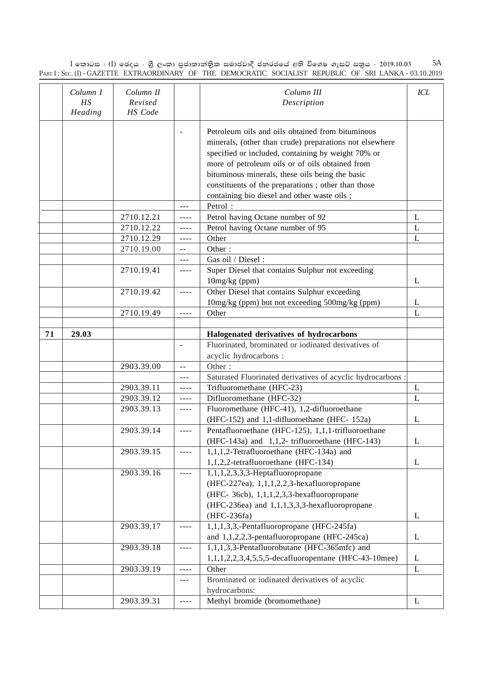$\rm I$  කොටස : ( $\rm I$ ) ඡෙදය - ශීු ලංකා පුජාතාන්තිුක සමාජවාදී ජනරජයේ අති විශෙෂ ගැසට් පතුය - 2019.10.03 PART I : SEC. (I) - GAZETTE EXTRAORDINARY OF THE DEMOCRATIC SOCIALIST REPUBLIC OF SRI LANKA - 03.10.2019 5A

|    | Column I<br>НS<br>Heading | Column II<br>Revised<br>HS Code |                                                                                                                                                                                                                                                                                                                                                                                              | Column III<br>Description                                                                                                                                                                                                                                                                                                                                                    | ICL |
|----|---------------------------|---------------------------------|----------------------------------------------------------------------------------------------------------------------------------------------------------------------------------------------------------------------------------------------------------------------------------------------------------------------------------------------------------------------------------------------|------------------------------------------------------------------------------------------------------------------------------------------------------------------------------------------------------------------------------------------------------------------------------------------------------------------------------------------------------------------------------|-----|
|    |                           |                                 | $\overline{\phantom{a}}$                                                                                                                                                                                                                                                                                                                                                                     | Petroleum oils and oils obtained from bituminous<br>minerals, (other than crude) preparations not elsewhere<br>specified or included, containing by weight 70% or<br>more of petroleum oils or of oils obtained from<br>bituminous minerals, these oils being the basic<br>constituents of the preparations; other than those<br>containing bio diesel and other waste oils; |     |
|    |                           |                                 | $\overline{a}$                                                                                                                                                                                                                                                                                                                                                                               | Petrol:                                                                                                                                                                                                                                                                                                                                                                      |     |
|    |                           | 2710.12.21                      | $\frac{1}{2} \frac{1}{2} \frac{1}{2} \frac{1}{2} \frac{1}{2} \frac{1}{2} \frac{1}{2} \frac{1}{2} \frac{1}{2} \frac{1}{2} \frac{1}{2} \frac{1}{2} \frac{1}{2} \frac{1}{2} \frac{1}{2} \frac{1}{2} \frac{1}{2} \frac{1}{2} \frac{1}{2} \frac{1}{2} \frac{1}{2} \frac{1}{2} \frac{1}{2} \frac{1}{2} \frac{1}{2} \frac{1}{2} \frac{1}{2} \frac{1}{2} \frac{1}{2} \frac{1}{2} \frac{1}{2} \frac{$ | Petrol having Octane number of 92                                                                                                                                                                                                                                                                                                                                            | L   |
|    |                           | 2710.12.22                      | $- - - -$                                                                                                                                                                                                                                                                                                                                                                                    | Petrol having Octane number of 95                                                                                                                                                                                                                                                                                                                                            | L   |
|    |                           | 2710.12.29                      | $- - - -$                                                                                                                                                                                                                                                                                                                                                                                    | Other                                                                                                                                                                                                                                                                                                                                                                        | L   |
|    |                           | 2710.19.00                      | $- -$                                                                                                                                                                                                                                                                                                                                                                                        | Other:                                                                                                                                                                                                                                                                                                                                                                       |     |
|    |                           |                                 | $---$                                                                                                                                                                                                                                                                                                                                                                                        | Gas oil / Diesel:                                                                                                                                                                                                                                                                                                                                                            |     |
|    |                           | 2710.19.41                      | $---$                                                                                                                                                                                                                                                                                                                                                                                        | Super Diesel that contains Sulphur not exceeding                                                                                                                                                                                                                                                                                                                             |     |
|    |                           |                                 |                                                                                                                                                                                                                                                                                                                                                                                              | 10mg/kg (ppm)                                                                                                                                                                                                                                                                                                                                                                | L   |
|    |                           | 2710.19.42                      | $+ + -$                                                                                                                                                                                                                                                                                                                                                                                      | Other Diesel that contains Sulphur exceeding                                                                                                                                                                                                                                                                                                                                 |     |
|    |                           |                                 |                                                                                                                                                                                                                                                                                                                                                                                              | 10mg/kg (ppm) but not exceeding 500mg/kg (ppm)                                                                                                                                                                                                                                                                                                                               | L   |
|    |                           | 2710.19.49                      | ----                                                                                                                                                                                                                                                                                                                                                                                         | Other                                                                                                                                                                                                                                                                                                                                                                        | L   |
|    |                           |                                 |                                                                                                                                                                                                                                                                                                                                                                                              |                                                                                                                                                                                                                                                                                                                                                                              |     |
| 71 | 29.03                     |                                 |                                                                                                                                                                                                                                                                                                                                                                                              | Halogenated derivatives of hydrocarbons                                                                                                                                                                                                                                                                                                                                      |     |
|    |                           |                                 | $\overline{\phantom{a}}$                                                                                                                                                                                                                                                                                                                                                                     | Fluorinated, brominated or iodinated derivatives of                                                                                                                                                                                                                                                                                                                          |     |
|    |                           |                                 |                                                                                                                                                                                                                                                                                                                                                                                              | acyclic hydrocarbons :                                                                                                                                                                                                                                                                                                                                                       |     |
|    |                           | 2903.39.00                      | $- -$                                                                                                                                                                                                                                                                                                                                                                                        | Other:                                                                                                                                                                                                                                                                                                                                                                       |     |
|    |                           |                                 | ---                                                                                                                                                                                                                                                                                                                                                                                          | Saturated Fluorinated derivatives of acyclic hydrocarbons :                                                                                                                                                                                                                                                                                                                  |     |
|    |                           | 2903.39.11                      | $\frac{1}{2} \frac{1}{2} \frac{1}{2} \frac{1}{2} \frac{1}{2} \frac{1}{2} \frac{1}{2} \frac{1}{2} \frac{1}{2} \frac{1}{2} \frac{1}{2} \frac{1}{2} \frac{1}{2} \frac{1}{2} \frac{1}{2} \frac{1}{2} \frac{1}{2} \frac{1}{2} \frac{1}{2} \frac{1}{2} \frac{1}{2} \frac{1}{2} \frac{1}{2} \frac{1}{2} \frac{1}{2} \frac{1}{2} \frac{1}{2} \frac{1}{2} \frac{1}{2} \frac{1}{2} \frac{1}{2} \frac{$ | Trifluoromethane (HFC-23)                                                                                                                                                                                                                                                                                                                                                    | L   |
|    |                           | 2903.39.12                      | $\cdots$                                                                                                                                                                                                                                                                                                                                                                                     | Difluoromethane (HFC-32)                                                                                                                                                                                                                                                                                                                                                     | L   |
|    |                           | 2903.39.13                      | $\frac{1}{2}$                                                                                                                                                                                                                                                                                                                                                                                | Fluoromethane (HFC-41), 1,2-difluoroethane                                                                                                                                                                                                                                                                                                                                   |     |
|    |                           |                                 |                                                                                                                                                                                                                                                                                                                                                                                              | (HFC-152) and 1,1-difluoroethane (HFC-152a)                                                                                                                                                                                                                                                                                                                                  | L   |
|    |                           | 2903.39.14                      | $\frac{1}{2}$                                                                                                                                                                                                                                                                                                                                                                                | Pentafluoroethane (HFC-125), 1,1,1-trifluoroethane                                                                                                                                                                                                                                                                                                                           |     |
|    |                           |                                 |                                                                                                                                                                                                                                                                                                                                                                                              | (HFC-143a) and 1,1,2- trifluoroethane (HFC-143)                                                                                                                                                                                                                                                                                                                              | L   |
|    |                           | 2903.39.15                      | ----                                                                                                                                                                                                                                                                                                                                                                                         | 1,1,1,2-Tetrafluoroethane (HFC-134a) and                                                                                                                                                                                                                                                                                                                                     |     |
|    |                           |                                 |                                                                                                                                                                                                                                                                                                                                                                                              | 1,1,2,2-tetrafluoroethane (HFC-134)                                                                                                                                                                                                                                                                                                                                          | L   |
|    |                           | 2903.39.16                      | ----                                                                                                                                                                                                                                                                                                                                                                                         | $1,1,1,2,3,3,3$ -Heptafluoropropane                                                                                                                                                                                                                                                                                                                                          |     |
|    |                           |                                 |                                                                                                                                                                                                                                                                                                                                                                                              | (HFC-227ea), 1,1,1,2,2,3-hexafluoropropane                                                                                                                                                                                                                                                                                                                                   |     |
|    |                           |                                 |                                                                                                                                                                                                                                                                                                                                                                                              | (HFC-36cb), 1,1,1,2,3,3-hexafluoropropane                                                                                                                                                                                                                                                                                                                                    |     |
|    |                           |                                 |                                                                                                                                                                                                                                                                                                                                                                                              | (HFC-236ea) and 1,1,1,3,3,3-hexafluoropropane                                                                                                                                                                                                                                                                                                                                |     |
|    |                           |                                 |                                                                                                                                                                                                                                                                                                                                                                                              | $(HFC-236fa)$                                                                                                                                                                                                                                                                                                                                                                | L   |
|    |                           | 2903.39.17                      | $- - - -$                                                                                                                                                                                                                                                                                                                                                                                    | $1,1,1,3,3,$ -Pentafluoropropane (HFC-245fa)                                                                                                                                                                                                                                                                                                                                 |     |
|    |                           |                                 |                                                                                                                                                                                                                                                                                                                                                                                              | and 1,1,2,2,3-pentafluoropropane (HFC-245ca)                                                                                                                                                                                                                                                                                                                                 | L   |
|    |                           | 2903.39.18                      | $- - - -$                                                                                                                                                                                                                                                                                                                                                                                    | 1,1,1,3,3-Pentafluorobutane (HFC-365mfc) and                                                                                                                                                                                                                                                                                                                                 |     |
|    |                           |                                 |                                                                                                                                                                                                                                                                                                                                                                                              | 1,1,1,2,2,3,4,5,5,5-decafluoropentane (HFC-43-10mee)                                                                                                                                                                                                                                                                                                                         | L   |
|    |                           | 2903.39.19                      | $- - - -$                                                                                                                                                                                                                                                                                                                                                                                    | Other                                                                                                                                                                                                                                                                                                                                                                        | L   |
|    |                           |                                 | $\frac{1}{2}$                                                                                                                                                                                                                                                                                                                                                                                | Brominated or iodinated derivatives of acyclic                                                                                                                                                                                                                                                                                                                               |     |
|    |                           |                                 |                                                                                                                                                                                                                                                                                                                                                                                              | hydrocarbons:                                                                                                                                                                                                                                                                                                                                                                |     |
|    |                           | 2903.39.31                      | ----                                                                                                                                                                                                                                                                                                                                                                                         | Methyl bromide (bromomethane)                                                                                                                                                                                                                                                                                                                                                | L   |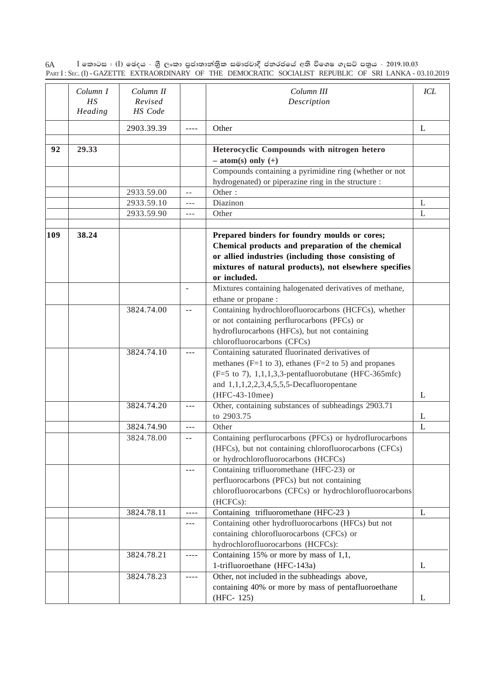$\rm I$  කොටස : ( $\rm I$ ) ඡෙදය - ශීු ලංකා පුජාතාන්තිුක සමාජවාදී ජනරජයේ අති විශෙෂ ගැසට් පතුය - 2019.10.03 PART I : SEC. (I) - GAZETTE EXTRAORDINARY OF THE DEMOCRATIC SOCIALIST REPUBLIC OF SRI LANKA - 03.10.2019 6A

|     | Column I<br>HS<br>Heading | Column II<br>Revised<br>HS Code |                                                                                                                                                                                                                                                                                                                                                                                              | Column III<br>Description                                                                                                                                                                                                                           | ICL |
|-----|---------------------------|---------------------------------|----------------------------------------------------------------------------------------------------------------------------------------------------------------------------------------------------------------------------------------------------------------------------------------------------------------------------------------------------------------------------------------------|-----------------------------------------------------------------------------------------------------------------------------------------------------------------------------------------------------------------------------------------------------|-----|
|     |                           | 2903.39.39                      | $- - - -$                                                                                                                                                                                                                                                                                                                                                                                    | Other                                                                                                                                                                                                                                               | L   |
| 92  | 29.33                     |                                 |                                                                                                                                                                                                                                                                                                                                                                                              | Heterocyclic Compounds with nitrogen hetero<br>$- atom(s) only (+)$                                                                                                                                                                                 |     |
|     |                           |                                 |                                                                                                                                                                                                                                                                                                                                                                                              | Compounds containing a pyrimidine ring (whether or not<br>hydrogenated) or piperazine ring in the structure :                                                                                                                                       |     |
|     |                           | 2933.59.00                      | $\sim$ $-$                                                                                                                                                                                                                                                                                                                                                                                   | Other:                                                                                                                                                                                                                                              |     |
|     |                           | 2933.59.10                      | $- - -$                                                                                                                                                                                                                                                                                                                                                                                      | Diazinon                                                                                                                                                                                                                                            | L   |
|     |                           | 2933.59.90                      | $---$                                                                                                                                                                                                                                                                                                                                                                                        | Other                                                                                                                                                                                                                                               | L   |
| 109 | 38.24                     |                                 |                                                                                                                                                                                                                                                                                                                                                                                              | Prepared binders for foundry moulds or cores;<br>Chemical products and preparation of the chemical<br>or allied industries (including those consisting of<br>mixtures of natural products), not elsewhere specifies<br>or included.                 |     |
|     |                           |                                 | $\sim$                                                                                                                                                                                                                                                                                                                                                                                       | Mixtures containing halogenated derivatives of methane,<br>ethane or propane :                                                                                                                                                                      |     |
|     |                           | 3824.74.00                      | $\sim$ $-$                                                                                                                                                                                                                                                                                                                                                                                   | Containing hydrochlorofluorocarbons (HCFCs), whether<br>or not containing perflurocarbons (PFCs) or<br>hydroflurocarbons (HFCs), but not containing<br>chlorofluorocarbons (CFCs)                                                                   |     |
|     |                           | 3824.74.10                      | $- - -$                                                                                                                                                                                                                                                                                                                                                                                      | Containing saturated fluorinated derivatives of<br>methanes ( $F=1$ to 3), ethanes ( $F=2$ to 5) and propanes<br>$(F=5 \text{ to } 7)$ , 1,1,1,3,3-pentafluorobutane (HFC-365mfc)<br>and $1,1,1,2,2,3,4,5,5,5$ -Decafluoropentane<br>(HFC-43-10mee) | L   |
|     |                           | 3824.74.20                      | $- - -$                                                                                                                                                                                                                                                                                                                                                                                      | Other, containing substances of subheadings 2903.71<br>to 2903.75                                                                                                                                                                                   | L   |
|     |                           | 3824.74.90                      | $  -$                                                                                                                                                                                                                                                                                                                                                                                        | Other                                                                                                                                                                                                                                               | L   |
|     |                           | 3824.78.00                      | $-$                                                                                                                                                                                                                                                                                                                                                                                          | Containing perflurocarbons (PFCs) or hydroflurocarbons<br>(HFCs), but not containing chlorofluorocarbons (CFCs)<br>or hydrochlorofluorocarbons (HCFCs)                                                                                              |     |
|     |                           |                                 | $- - -$                                                                                                                                                                                                                                                                                                                                                                                      | Containing trifluoromethane (HFC-23) or<br>perfluorocarbons (PFCs) but not containing<br>chlorofluorocarbons (CFCs) or hydrochlorofluorocarbons<br>(HCFCs):                                                                                         |     |
|     |                           | 3824.78.11                      |                                                                                                                                                                                                                                                                                                                                                                                              | Containing trifluoromethane (HFC-23)                                                                                                                                                                                                                | L   |
|     |                           |                                 | $---$                                                                                                                                                                                                                                                                                                                                                                                        | Containing other hydrofluorocarbons (HFCs) but not<br>containing chlorofluorocarbons (CFCs) or<br>hydrochlorofluorocarbons (HCFCs):                                                                                                                 |     |
|     |                           | 3824.78.21                      | $- - - -$                                                                                                                                                                                                                                                                                                                                                                                    | Containing 15% or more by mass of 1,1,<br>1-trifluoroethane (HFC-143a)                                                                                                                                                                              | L   |
|     |                           | 3824.78.23                      | $\frac{1}{2} \frac{1}{2} \frac{1}{2} \frac{1}{2} \frac{1}{2} \frac{1}{2} \frac{1}{2} \frac{1}{2} \frac{1}{2} \frac{1}{2} \frac{1}{2} \frac{1}{2} \frac{1}{2} \frac{1}{2} \frac{1}{2} \frac{1}{2} \frac{1}{2} \frac{1}{2} \frac{1}{2} \frac{1}{2} \frac{1}{2} \frac{1}{2} \frac{1}{2} \frac{1}{2} \frac{1}{2} \frac{1}{2} \frac{1}{2} \frac{1}{2} \frac{1}{2} \frac{1}{2} \frac{1}{2} \frac{$ | Other, not included in the subheadings above,<br>containing 40% or more by mass of pentafluoroethane<br>(HFC-125)                                                                                                                                   | L   |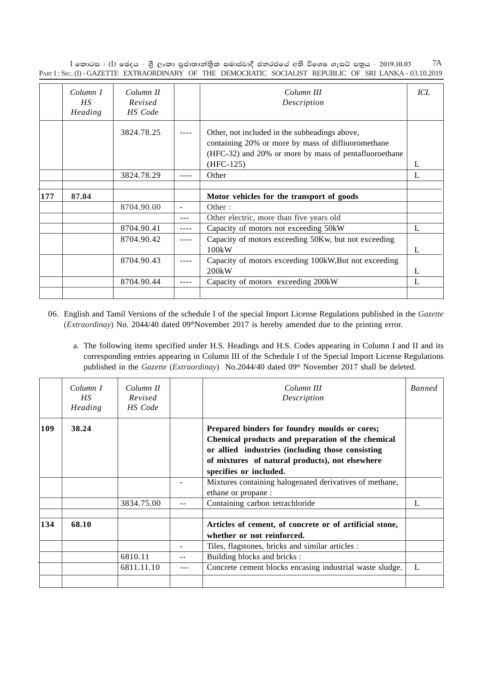$I$  කොටස : (I) ඡෙදය - ශීූ ලංකා පුජාතාන්තිුක සමාජවාදී ජනරජයේ අති විශෙෂ ගැසට් පතුය - 2019.10.03 PART I: SEC. (I) - GAZETTE EXTRAORDINARY OF THE DEMOCRATIC SOCIALIST REPUBLIC OF SRI LANKA - 03.10.2019 7A

|     | Column I<br>HS<br>Heading | Column II<br>Revised<br>HS Code | Column III<br>Description                                                                                                                                                   | ICL |
|-----|---------------------------|---------------------------------|-----------------------------------------------------------------------------------------------------------------------------------------------------------------------------|-----|
|     |                           | 3824.78.25                      | Other, not included in the subheadings above,<br>containing 20% or more by mass of diffiuoromethane<br>(HFC-32) and 20% or more by mass of pentafluoroethane<br>$(HFC-125)$ | L   |
|     |                           | 3824.78.29                      | Other                                                                                                                                                                       | L   |
|     |                           |                                 |                                                                                                                                                                             |     |
| 177 | 87.04                     |                                 | Motor vehicles for the transport of goods                                                                                                                                   |     |
|     |                           |                                 |                                                                                                                                                                             |     |
|     |                           | 8704.90.00                      | Other:                                                                                                                                                                      |     |
|     |                           |                                 | Other electric, more than five years old                                                                                                                                    |     |
|     |                           | 8704.90.41                      | Capacity of motors not exceeding 50kW                                                                                                                                       | L   |
|     |                           | 8704.90.42                      | Capacity of motors exceeding 50Kw, but not exceeding<br>100kW                                                                                                               | L   |
|     |                           | 8704.90.43                      | Capacity of motors exceeding 100kW, But not exceeding<br>200kW                                                                                                              | L   |
|     |                           | 8704.90.44                      | Capacity of motors exceeding 200kW                                                                                                                                          | L   |

- 06. English and Tamil Versions of the schedule I of the special Import License Regulations published in the *Gazette* (*Extraordinay*) No. 2044/40 dated 09<sup>th</sup>November 2017 is hereby amended due to the printing error.
	- a. The following items specified under H.S. Headings and H.S. Codes appearing in Column I and II and its corresponding entries appearing in Column III of the Schedule I of the Special Import License Regulations published in the *Gazette* (*Extraordinay*) No.2044/40 dated 09<sup>th</sup> November 2017 shall be deleted.

|     | Column I<br>HS.<br>Heading | Column II<br>Revised<br>HS Code |                          | Column III<br>Description                                                                                                                                                                                                           | <b>Banned</b> |
|-----|----------------------------|---------------------------------|--------------------------|-------------------------------------------------------------------------------------------------------------------------------------------------------------------------------------------------------------------------------------|---------------|
| 109 | 38.24                      |                                 |                          | Prepared binders for foundry moulds or cores;<br>Chemical products and preparation of the chemical<br>or allied industries (including those consisting<br>of mixtures of natural products), not elsewhere<br>specifies or included. |               |
|     |                            |                                 |                          | Mixtures containing halogenated derivatives of methane,<br>ethane or propane :                                                                                                                                                      |               |
|     |                            | 3834.75.00                      |                          | Containing carbon tetrachloride                                                                                                                                                                                                     | L             |
| 134 | 68.10                      |                                 |                          | Articles of cement, of concrete or of artificial stone,<br>whether or not reinforced.                                                                                                                                               |               |
|     |                            |                                 | $\overline{\phantom{a}}$ | Tiles, flagstones, bricks and similar articles :                                                                                                                                                                                    |               |
|     |                            | 6810.11                         | $- -$                    | Building blocks and bricks:                                                                                                                                                                                                         |               |
|     |                            | 6811.11.10                      |                          | Concrete cement blocks encasing industrial waste sludge.                                                                                                                                                                            | L             |
|     |                            |                                 |                          |                                                                                                                                                                                                                                     |               |